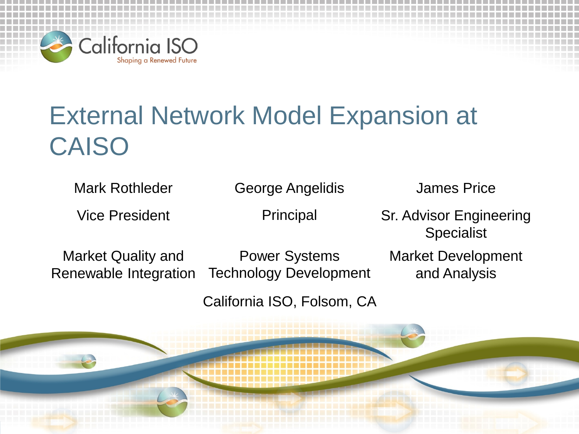

## External Network Model Expansion at CAISO

Mark Rothleder George Angelidis James Price

Vice President **Principal** Sr. Advisor Engineering **Specialist** 

Market Quality and Renewable Integration

Power Systems Technology Development Market Development and Analysis

California ISO, Folsom, CA

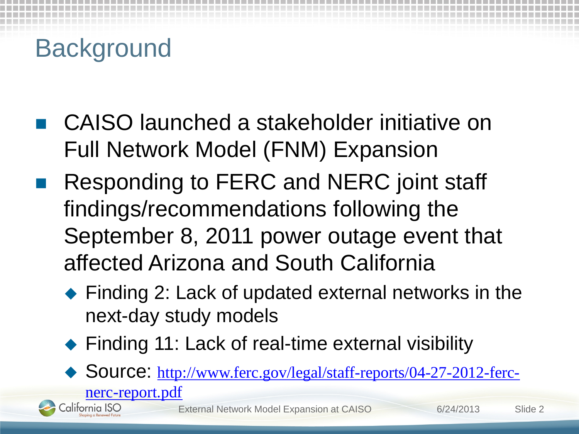# **Background**

[nerc-report.pdf](http://www.ferc.gov/legal/staff-reports/04-27-2012-ferc-nerc-report.pdf)

California ISO

- CAISO launched a stakeholder initiative on Full Network Model (FNM) Expansion
- Responding to FERC and NERC joint staff findings/recommendations following the September 8, 2011 power outage event that affected Arizona and South California
	- ◆ Finding 2: Lack of updated external networks in the next-day study models
	- ◆ Finding 11: Lack of real-time external visibility
	- ◆ Source: [http://www.ferc.gov/legal/staff-reports/04-27-2012-ferc-](http://www.ferc.gov/legal/staff-reports/04-27-2012-ferc-nerc-report.pdf)

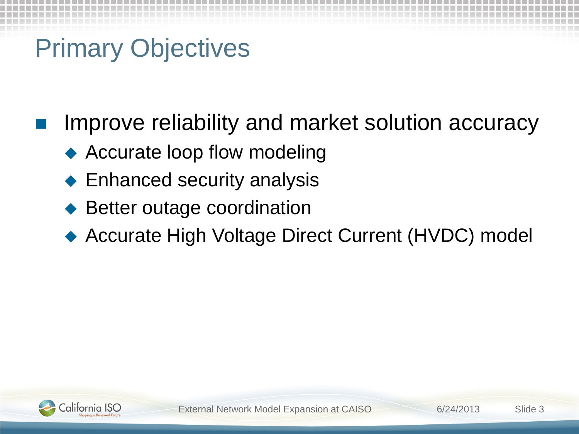# Primary Objectives

Improve reliability and market solution accuracy

- ◆ Accurate loop flow modeling
- Enhanced security analysis
- Better outage coordination
- ◆ Accurate High Voltage Direct Current (HVDC) model

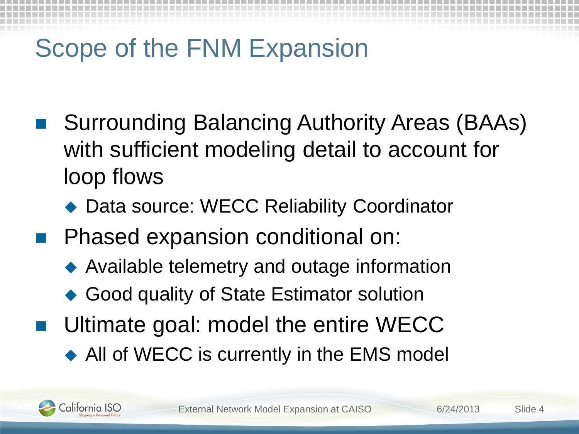# Scope of the FNM Expansion

- Surrounding Balancing Authority Areas (BAAs) with sufficient modeling detail to account for loop flows
	- ◆ Data source: WECC Reliability Coordinator
- Phased expansion conditional on:
	- Available telemetry and outage information
	- Good quality of State Estimator solution
- Ultimate goal: model the entire WECC
	- ◆ All of WECC is currently in the EMS model

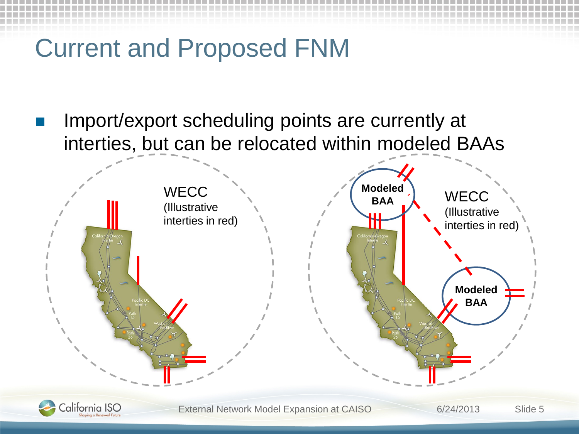## Current and Proposed FNM

 Import/export scheduling points are currently at interties, but can be relocated within modeled BAAs



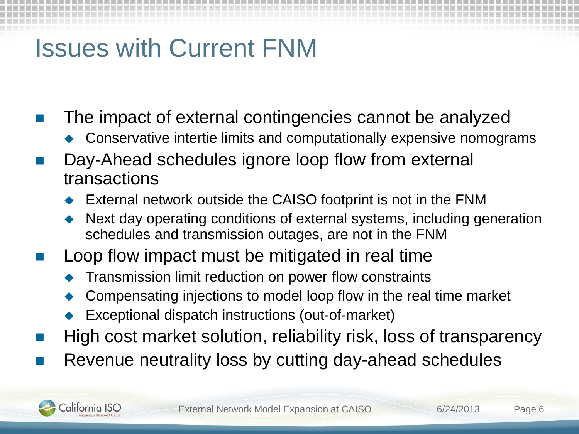## Issues with Current FNM

- The impact of external contingencies cannot be analyzed
	- ▶ Conservative intertie limits and computationally expensive nomograms
- Day-Ahead schedules ignore loop flow from external transactions
	- External network outside the CAISO footprint is not in the FNM
	- Next day operating conditions of external systems, including generation schedules and transmission outages, are not in the FNM
- Loop flow impact must be mitigated in real time
	- Transmission limit reduction on power flow constraints
	- Compensating injections to model loop flow in the real time market
	- Exceptional dispatch instructions (out-of-market)
- High cost market solution, reliability risk, loss of transparency
- Revenue neutrality loss by cutting day-ahead schedules

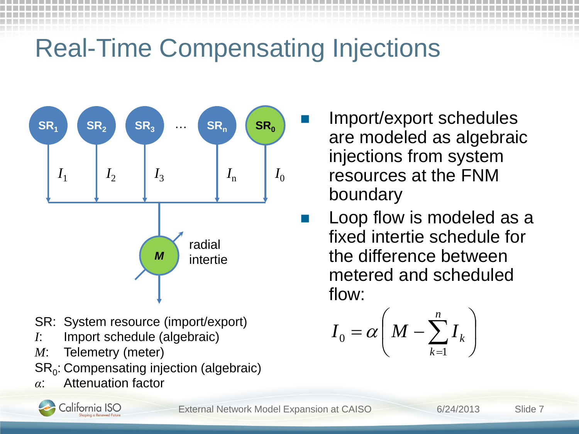# Real-Time Compensating Injections



- SR: System resource (import/export)
- *I*: Import schedule (algebraic)
- *M*: Telemetry (meter)
- $SR<sub>0</sub>$ : Compensating injection (algebraic)
- *α*: Attenuation factor



External Network Model Expansion at CAISO 6/24/2013 Slide 7

- Import/export schedules are modeled as algebraic injections from system resources at the FNM boundary
- Loop flow is modeled as a fixed intertie schedule for the difference between metered and scheduled flow:

$$
I_0 = \alpha \bigg( M - \sum_{k=1}^n I_k \bigg)
$$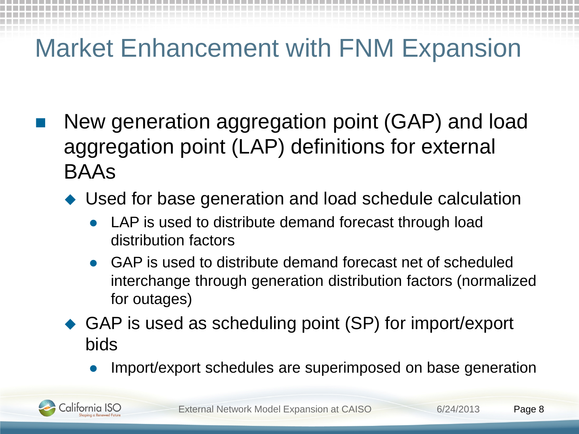## Market Enhancement with FNM Expansion

- New generation aggregation point (GAP) and load aggregation point (LAP) definitions for external BAAs
	- Used for base generation and load schedule calculation
		- LAP is used to distribute demand forecast through load distribution factors
		- GAP is used to distribute demand forecast net of scheduled interchange through generation distribution factors (normalized for outages)
	- ◆ GAP is used as scheduling point (SP) for import/export bids
		- Import/export schedules are superimposed on base generation

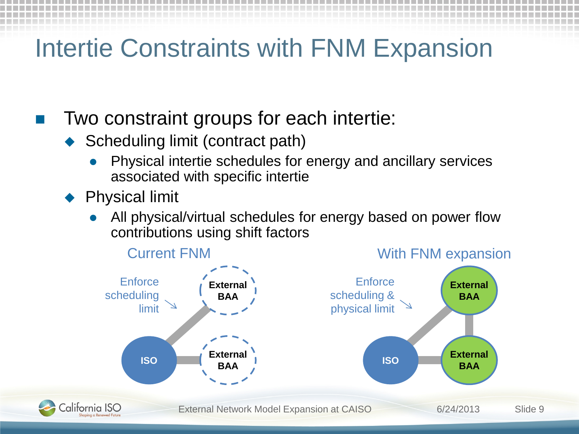### Intertie Constraints with FNM Expansion

#### Two constraint groups for each intertie:

- ◆ Scheduling limit (contract path)
	- Physical intertie schedules for energy and ancillary services associated with specific intertie
- Physical limit
	- All physical/virtual schedules for energy based on power flow contributions using shift factors

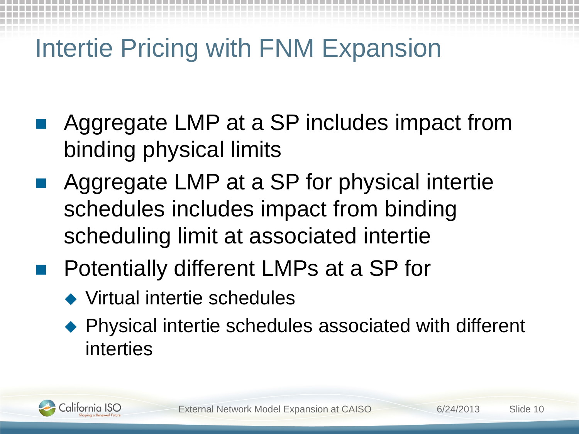## Intertie Pricing with FNM Expansion

- Aggregate LMP at a SP includes impact from binding physical limits
- Aggregate LMP at a SP for physical intertie schedules includes impact from binding scheduling limit at associated intertie
- Potentially different LMPs at a SP for
	- Virtual intertie schedules
	- ◆ Physical intertie schedules associated with different interties

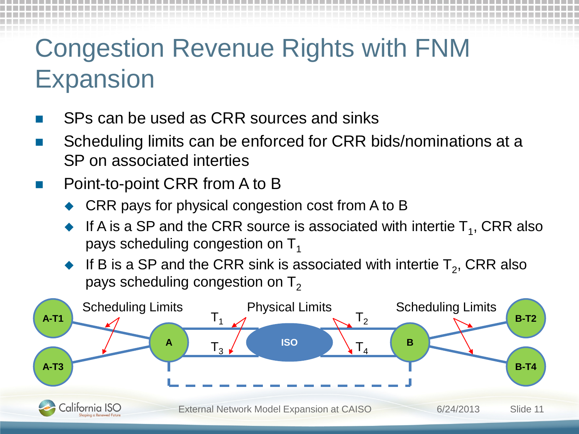## Congestion Revenue Rights with FNM Expansion

- SPs can be used as CRR sources and sinks
- Scheduling limits can be enforced for CRR bids/nominations at a SP on associated interties
- Point-to-point CRR from A to B
	- CRR pays for physical congestion cost from A to B
	- If A is a SP and the CRR source is associated with intertie  $T_1$ , CRR also pays scheduling congestion on  $T_1$
	- If B is a SP and the CRR sink is associated with intertie  $T_2$ , CRR also pays scheduling congestion on  $T<sub>2</sub>$

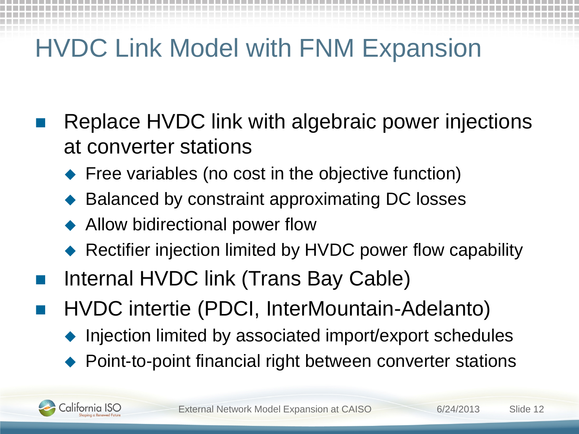# HVDC Link Model with FNM Expansion

- Replace HVDC link with algebraic power injections at converter stations
	- **Figuel Free variables (no cost in the objective function)**
	- Balanced by constraint approximating DC losses
	- **Allow bidirectional power flow**
	- Rectifier injection limited by HVDC power flow capability
- Internal HVDC link (Trans Bay Cable)
- HVDC intertie (PDCI, InterMountain-Adelanto)
	- ▶ Injection limited by associated import/export schedules
	- Point-to-point financial right between converter stations

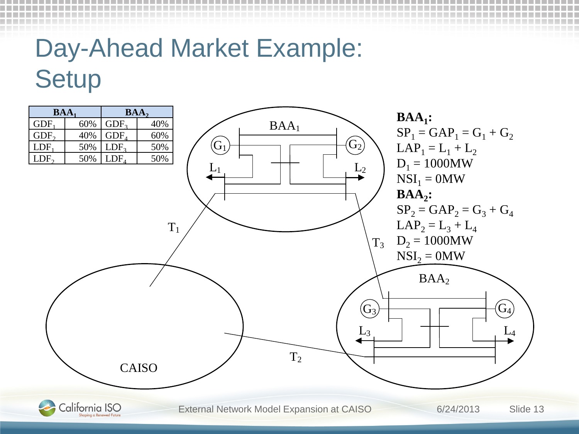## Day-Ahead Market Example: **Setup**

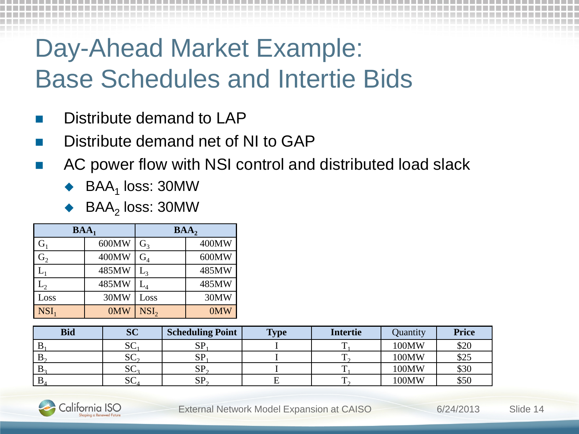# Day-Ahead Market Example: Base Schedules and Intertie Bids

- Distribute demand to LAP
- Distribute demand net of NI to GAP
- AC power flow with NSI control and distributed load slack
	- $BAA<sub>1</sub>$  loss: 30MW
	- $BAA<sub>2</sub>$  loss: 30MW

| $BAA_1$          |       | BAA <sub>2</sub>               |       |  |
|------------------|-------|--------------------------------|-------|--|
| G <sub>1</sub>   | 600MW | G <sub>3</sub>                 | 400MW |  |
| $\mathbf{G}_2$   | 400MW | $G_4$                          | 600MW |  |
|                  | 485MW | $\mathrm{L}_{\text{\tiny{2}}}$ | 485MW |  |
| $\mathrm{L}_2$   | 485MW | $\mathrm{L}_{4}$               | 485MW |  |
| Loss             | 30MW  | Loss                           | 30MW  |  |
| NSI <sub>1</sub> | 0MW   | NSI <sub>2</sub>               | 0MW   |  |

| <b>Bid</b>     | <b>SC</b>              | <b>Scheduling Point</b> | <b>Type</b> | <b>Intertie</b> | Quantity       | <b>Price</b> |
|----------------|------------------------|-------------------------|-------------|-----------------|----------------|--------------|
| D.             | $\sim$<br>$\mathbf{v}$ | сn<br>IJΙ               |             | $\mathbf{r}$    | 100MW          | \$20         |
| D <sub>o</sub> | $\sim$<br>$\mathbf{C}$ | <b>SP</b>               |             | m               | $100$ MW       | \$25         |
| D <sub>2</sub> | nη<br>$\mathbf{C}_2$   | SP                      |             | m               | $100\text{MW}$ | \$30         |
| D.             | UΠ<br>$\mathcal{U}$    | $SP_{\gamma}$           |             | m               | $100\text{MW}$ | \$50         |

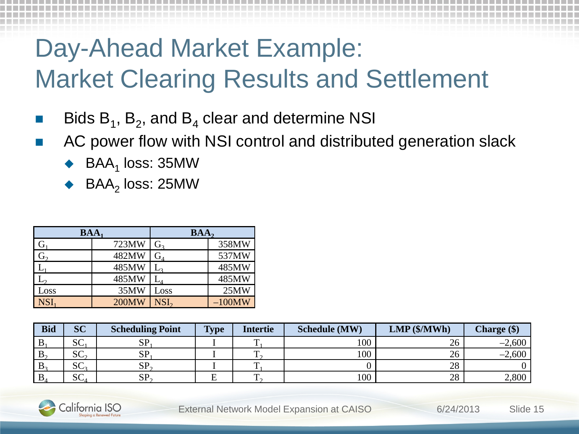# Day-Ahead Market Example: Market Clearing Results and Settlement

- Bids  $B_1$ ,  $B_2$ , and  $B_4$  clear and determine NSI
- AC power flow with NSI control and distributed generation slack
	- $BAA<sub>1</sub>$  loss: 35MW
	- $BAA<sub>2</sub>$  loss: 25MW

| $BAA_1$          |              | BAA,                                 |           |  |
|------------------|--------------|--------------------------------------|-----------|--|
| G                | 723MW        | G <sub>3</sub>                       | 358MW     |  |
| $\overline{G}_2$ | 482MW        | $\mathrm{G}_{\scriptscriptstyle{A}}$ | 537MW     |  |
|                  | 485MW        | وسلا                                 | 485MW     |  |
|                  | 485MW        | $\mathbf L_4$                        | 485MW     |  |
| Loss             | 35MW         | Loss                                 | 25MW      |  |
| <b>NSI</b>       | <b>200MW</b> | NSI,                                 | $-100$ MW |  |

| <b>Bid</b>     | <b>SC</b>            | <b>Scheduling Point</b> | Type | Intertie | <b>Schedule (MW)</b> | $LMP$ (\$/MWh) | Charge (\$) |
|----------------|----------------------|-------------------------|------|----------|----------------------|----------------|-------------|
|                | $\mathbf{C}$<br>ن ب  | CD<br>πכ                |      |          | 100                  | 26             | $-2,600$    |
| B <sub>2</sub> | SC <sub>2</sub>      | SP                      |      |          | 100                  | 26             | $-2,600$    |
| $\mathbf{D}$   | SC <sub>3</sub>      | SP                      |      |          |                      | 28             |             |
|                | $\mathfrak{c}$<br>⊿ت | <b>SP</b>               |      |          | 100                  | 28             | 2,800       |

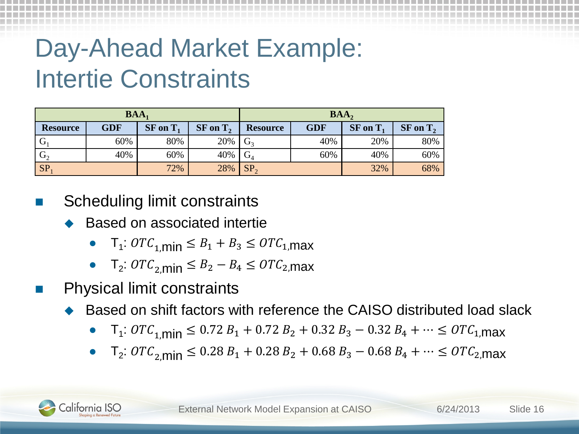# Day-Ahead Market Example: Intertie Constraints

| $BAA_1$                |            |               |               | BAA,            |            |               |               |
|------------------------|------------|---------------|---------------|-----------------|------------|---------------|---------------|
| <b>Resource</b>        | <b>GDF</b> | $SF$ on $T_1$ | $SF$ on $T_2$ | <b>Resource</b> | <b>GDF</b> | $SF$ on $T_1$ | $SF$ on $T_2$ |
|                        | 60%        | 80%           | 20%           |                 | 40%        | 20%           | 80%           |
| $\cdot$ G <sub>2</sub> | 40%        | 60%           | 40%           | $\mathbf{G}_4$  | 60%        | 40%           | 60%           |
| <b>SP</b>              |            | 72%           | 28%           | SP <sub>2</sub> |            | 32%           | 68%           |

Scheduling limit constraints

- Based on associated intertie
	- $T_1: OTC_{1,min} \leq B_1 + B_3 \leq OTC_{1,max}$
	- $T_2$ :  $OTC_{2,\text{min}} \leq B_2 B_4 \leq OTC_{2,\text{max}}$
- Physical limit constraints
	- ▶ Based on shift factors with reference the CAISO distributed load slack
		- T<sub>1</sub>:  $OTC_{1,\text{min}} \leq 0.72 B_1 + 0.72 B_2 + 0.32 B_3 0.32 B_4 + \cdots \leq OTC_{1,\text{max}}$
		- $T_2$ :  $OTC_{2,\text{min}}$  ≤ 0.28  $B_1$  + 0.28  $B_2$  + 0.68  $B_3$  0.68  $B_4$  +  $\cdots$  ≤  $OTC_{2,\text{max}}$